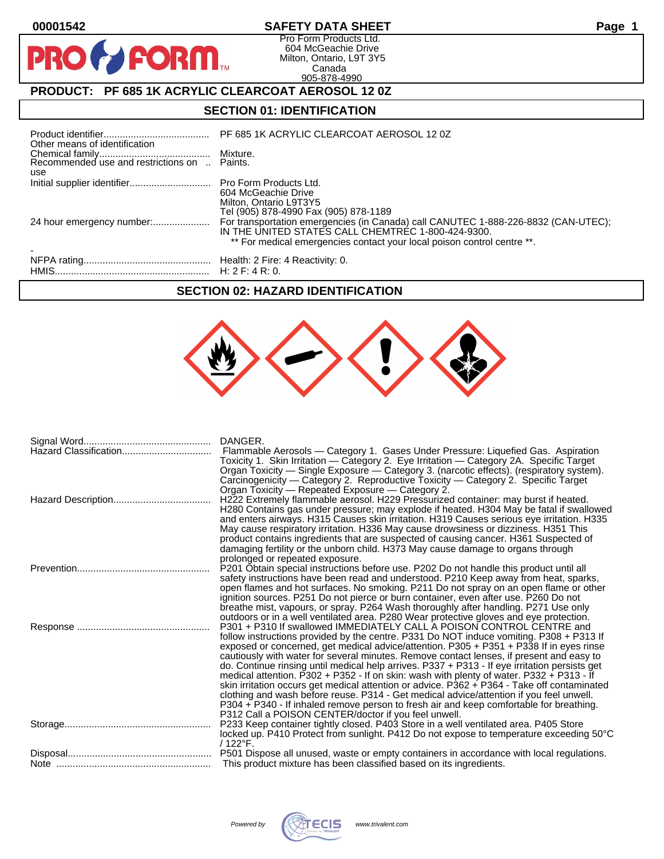

 $\mathbf O$ 

PR

# **00001542 SAFETY DATA SHEET Page 1**

Pro Form Products Ltd. 604 McGeachie Drive Milton, Ontario, L9T 3Y5 Canada 905-878-4990

# **PRODUCT: PF 685 1K ACRYLIC CLEARCOAT AEROSOL 12 0Z**

**FORM.** 

## **SECTION 01: IDENTIFICATION**

| Other means of identification |                                                                                                                                                                                                                     |
|-------------------------------|---------------------------------------------------------------------------------------------------------------------------------------------------------------------------------------------------------------------|
| use                           |                                                                                                                                                                                                                     |
|                               | 604 McGeachie Drive<br>Milton, Ontario L9T3Y5<br>Tel (905) 878-4990 Fax (905) 878-1189                                                                                                                              |
|                               | For transportation emergencies (in Canada) call CANUTEC 1-888-226-8832 (CAN-UTEC);<br>IN THE UNITED STATES CALL CHEMTREC 1-800-424-9300.<br>** For medical emergencies contact your local poison control centre **. |
|                               |                                                                                                                                                                                                                     |

#### **SECTION 02: HAZARD IDENTIFICATION**



| DANGER.                                                                                                                                                                                |
|----------------------------------------------------------------------------------------------------------------------------------------------------------------------------------------|
| Flammable Aerosols - Category 1. Gases Under Pressure: Liquefied Gas. Aspiration                                                                                                       |
| Toxicity 1. Skin Irritation - Category 2. Eye Irritation - Category 2A. Specific Target                                                                                                |
| Organ Toxicity - Single Exposure - Category 3. (narcotic effects). (respiratory system).                                                                                               |
| Carcinogenicity — Category 2. Reproductive Toxicity — Category 2. Specific Target                                                                                                      |
| Organ Toxicity - Repeated Exposure - Category 2.<br>H222 Extremely flammable aerosol. H229 Pressurized container: may burst if heated.                                                 |
| H280 Contains gas under pressure; may explode if heated. H304 May be fatal if swallowed                                                                                                |
| and enters airways. H315 Causes skin irritation. H319 Causes serious eye irritation. H335                                                                                              |
| May cause respiratory irritation. H336 May cause drowsiness or dizziness. H351 This                                                                                                    |
| product contains ingredients that are suspected of causing cancer. H361 Suspected of                                                                                                   |
| damaging fertility or the unborn child. H373 May cause damage to organs through                                                                                                        |
| prolonged or repeated exposure.                                                                                                                                                        |
| P201 Obtain special instructions before use. P202 Do not handle this product until all                                                                                                 |
| safety instructions have been read and understood. P210 Keep away from heat, sparks,<br>open flames and hot surfaces. No smoking. P211 Do not spray on an open flame or other          |
| ignition sources. P251 Do not pierce or burn container, even after use. P260 Do not                                                                                                    |
| breathe mist, vapours, or spray. P264 Wash thoroughly after handling. P271 Use only                                                                                                    |
| outdoors or in a well ventilated area. P280 Wear protective gloves and eye protection.                                                                                                 |
| P301 + P310 If swallowed IMMEDIATELY CALL A POISON CONTROL CENTRE and                                                                                                                  |
| follow instructions provided by the centre. P331 Do NOT induce vomiting. P308 + P313 If                                                                                                |
| exposed or concerned, get medical advice/attention. P305 + P351 + P338 If in eyes rinse                                                                                                |
| cautiously with water for several minutes. Remove contact lenses, if present and easy to                                                                                               |
| do. Continue rinsing until medical help arrives. P337 + P313 - If eye irritation persists get                                                                                          |
| medical attention. P302 + P352 - If on skin: wash with plenty of water. P332 + P313 - If                                                                                               |
| skin irritation occurs get medical attention or advice. P362 + P364 - Take off contaminated<br>clothing and wash before reuse. P314 - Get medical advice/attention if you feel unwell. |
| P304 + P340 - If inhaled remove person to fresh air and keep comfortable for breathing.                                                                                                |
| P312 Call a POISON CENTER/doctor if you feel unwell.                                                                                                                                   |
| P233 Keep container tightly closed. P403 Store in a well ventilated area. P405 Store                                                                                                   |
| locked up. P410 Protect from sunlight. P412 Do not expose to temperature exceeding 50°C                                                                                                |
| $/122^{\circ}$ F.                                                                                                                                                                      |
| P501 Dispose all unused, waste or empty containers in accordance with local regulations.                                                                                               |
| This product mixture has been classified based on its ingredients.                                                                                                                     |

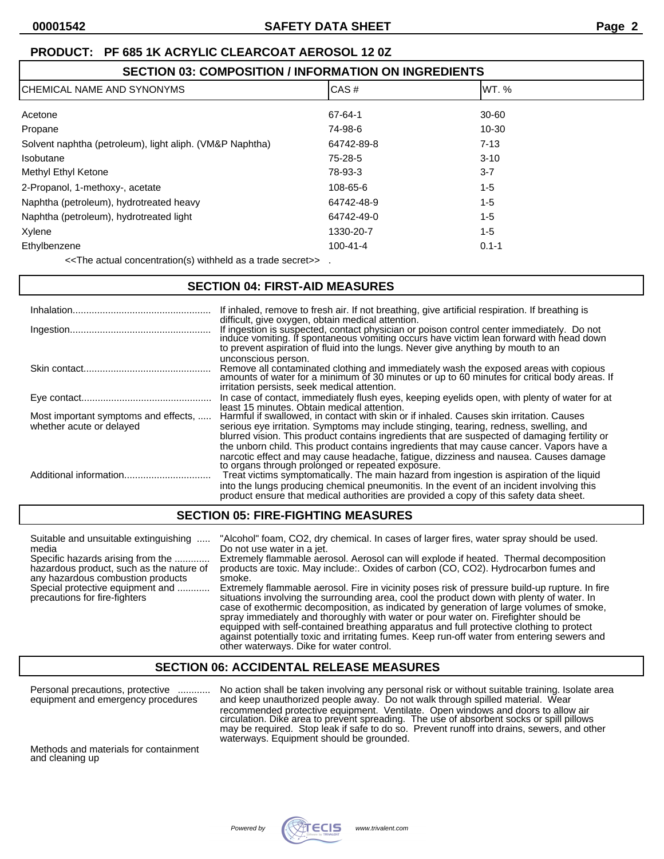| <b>SECTION 03: COMPOSITION / INFORMATION ON INGREDIENTS</b> |                |           |  |
|-------------------------------------------------------------|----------------|-----------|--|
| CHEMICAL NAME AND SYNONYMS                                  | CAS#           | lWT. %    |  |
| Acetone                                                     | 67-64-1        | $30 - 60$ |  |
| Propane                                                     | 74-98-6        | $10 - 30$ |  |
| Solvent naphtha (petroleum), light aliph. (VM&P Naphtha)    | 64742-89-8     | $7 - 13$  |  |
| Isobutane                                                   | 75-28-5        | $3 - 10$  |  |
| Methyl Ethyl Ketone                                         | 78-93-3        | $3 - 7$   |  |
| 2-Propanol, 1-methoxy-, acetate                             | 108-65-6       | $1 - 5$   |  |
| Naphtha (petroleum), hydrotreated heavy                     | 64742-48-9     | $1 - 5$   |  |
| Naphtha (petroleum), hydrotreated light                     | 64742-49-0     | 1-5       |  |
| Xylene                                                      | 1330-20-7      | $1 - 5$   |  |
| Ethylbenzene                                                | $100 - 41 - 4$ | $0.1 - 1$ |  |
|                                                             |                |           |  |

<<The actual concentration(s) withheld as a trade secret>> .

### **SECTION 04: FIRST-AID MEASURES**

| Inhalation                                                       | If inhaled, remove to fresh air. If not breathing, give artificial respiration. If breathing is<br>difficult, give oxygen, obtain medical attention.                                                                                                                                                                                                                                                                                                                                                                      |
|------------------------------------------------------------------|---------------------------------------------------------------------------------------------------------------------------------------------------------------------------------------------------------------------------------------------------------------------------------------------------------------------------------------------------------------------------------------------------------------------------------------------------------------------------------------------------------------------------|
|                                                                  | If ingestion is suspected, contact physician or poison control center immediately. Do not<br>induce vomiting. If spontaneous vomiting occurs have victim lean forward with head down<br>to prevent aspiration of fluid into the lungs. Never give anything by mouth to an                                                                                                                                                                                                                                                 |
|                                                                  | unconscious person.<br>Remove all contaminated clothing and immediately wash the exposed areas with copious<br>amounts of water for a minimum of 30 minutes or up to 60 minutes for critical body areas. If<br>irritation persists, seek medical attention.                                                                                                                                                                                                                                                               |
|                                                                  | In case of contact, immediately flush eyes, keeping eyelids open, with plenty of water for at                                                                                                                                                                                                                                                                                                                                                                                                                             |
| Most important symptoms and effects,<br>whether acute or delayed | least 15 minutes. Obtain medical attention.<br>Harmful if swallowed, in contact with skin or if inhaled. Causes skin irritation. Causes<br>serious eye irritation. Symptoms may include stinging, tearing, redness, swelling, and<br>blurred vision. This product contains ingredients that are suspected of damaging fertility or                                                                                                                                                                                        |
|                                                                  | the unborn child. This product contains ingredients that may cause cancer. Vapors have a<br>narcotic effect and may cause headache, fatique, dizziness and nausea. Causes damage<br>to organs through prolonged or repeated exposure.<br>Treat victims symptomatically. The main hazard from ingestion is aspiration of the liquid<br>into the lungs producing chemical pneumonitis. In the event of an incident involving this<br>product ensure that medical authorities are provided a copy of this safety data sheet. |

### **SECTION 05: FIRE-FIGHTING MEASURES**

| Suitable and unsuitable extinguishing<br>media<br>Specific hazards arising from the<br>hazardous product, such as the nature of<br>any hazardous combustion products<br>Special protective equipment and<br>precautions for fire-fighters | "Alcohol" foam, CO2, dry chemical. In cases of larger fires, water spray should be used.<br>Do not use water in a jet.<br>Extremely flammable aerosol. Aerosol can will explode if heated. Thermal decomposition<br>products are toxic. May include: Oxides of carbon (CO, CO2). Hydrocarbon fumes and<br>smoke.<br>Extremely flammable aerosol. Fire in vicinity poses risk of pressure build-up rupture. In fire<br>situations involving the surrounding area, cool the product down with plenty of water. In<br>case of exothermic decomposition, as indicated by generation of large volumes of smoke,<br>spray immediately and thoroughly with water or pour water on. Firefighter should be |
|-------------------------------------------------------------------------------------------------------------------------------------------------------------------------------------------------------------------------------------------|---------------------------------------------------------------------------------------------------------------------------------------------------------------------------------------------------------------------------------------------------------------------------------------------------------------------------------------------------------------------------------------------------------------------------------------------------------------------------------------------------------------------------------------------------------------------------------------------------------------------------------------------------------------------------------------------------|
|                                                                                                                                                                                                                                           | equipped with self-contained breathing apparatus and full protective clothing to protect<br>against potentially toxic and irritating fumes. Keep run-off water from entering sewers and                                                                                                                                                                                                                                                                                                                                                                                                                                                                                                           |

#### **SECTION 06: ACCIDENTAL RELEASE MEASURES**

other waterways. Dike for water control.

Personal precautions, protective ............ No action shall be taken involving any personal risk or without suitable training. Isolate area equipment and emergency procedures and keep unauthorized people away. Do not walk through spilled material. Wear recommended protective equipment. Ventilate. Open windows and doors to allow air circulation. Dike area to prevent spreading. The use of absorbent socks or spill pillows may be required. Stop leak if safe to do so. Prevent runoff into drains, sewers, and other waterways. Equipment should be grounded.

Methods and materials for containment and cleaning up

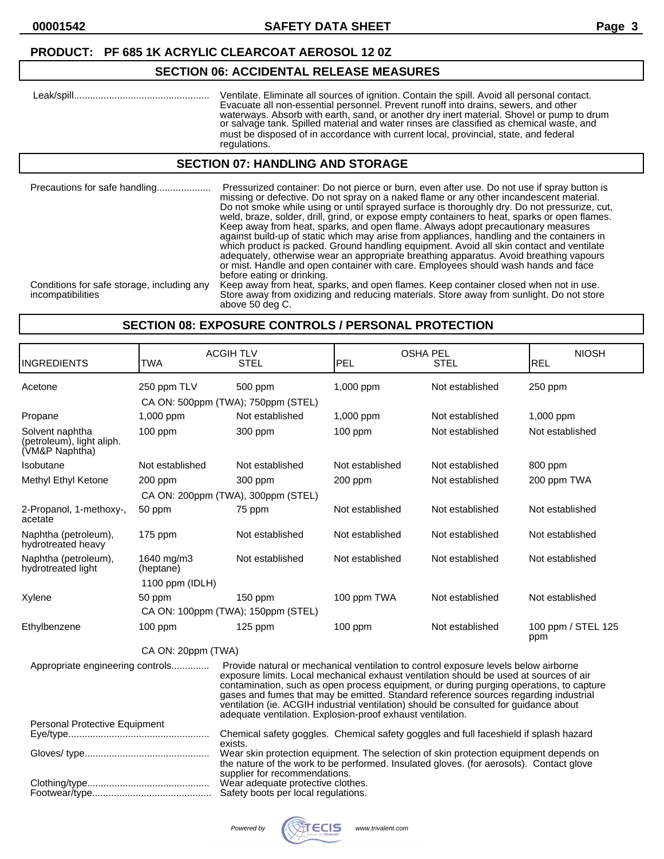# **SECTION 06: ACCIDENTAL RELEASE MEASURES**

| Leak/spill | Ventilate. Eliminate all sources of ignition. Contain the spill. Avoid all personal contact.<br>Evacuate all non-essential personnel. Prevent runoff into drains, sewers, and other<br>waterways. Absorb with earth, sand, or another dry inert material. Shovel or pump to drum<br>or salvage tank. Spilled material and water rinses are classified as chemical waste, and<br>must be disposed of in accordance with current local, provincial, state, and federal |
|------------|----------------------------------------------------------------------------------------------------------------------------------------------------------------------------------------------------------------------------------------------------------------------------------------------------------------------------------------------------------------------------------------------------------------------------------------------------------------------|
|            | regulations.                                                                                                                                                                                                                                                                                                                                                                                                                                                         |

#### **SECTION 07: HANDLING AND STORAGE**

| Precautions for safe handling                                   | Pressurized container: Do not pierce or burn, even after use. Do not use if spray button is<br>missing or defective. Do not spray on a naked flame or any other incandescent material.<br>Do not smoke while using or until sprayed surface is thoroughly dry. Do not pressurize, cut,<br>weld, braze, solder, drill, grind, or expose empty containers to heat, sparks or open flames.<br>Keep away from heat, sparks, and open flame. Always adopt precautionary measures<br>against build-up of static which may arise from appliances, handling and the containers in<br>which product is packed. Ground handling equipment. Avoid all skin contact and ventilate<br>adequately, otherwise wear an appropriate breathing apparatus. Avoid breathing vapours<br>or mist. Handle and open container with care. Employees should wash hands and face<br>before eating or drinking. |
|-----------------------------------------------------------------|-------------------------------------------------------------------------------------------------------------------------------------------------------------------------------------------------------------------------------------------------------------------------------------------------------------------------------------------------------------------------------------------------------------------------------------------------------------------------------------------------------------------------------------------------------------------------------------------------------------------------------------------------------------------------------------------------------------------------------------------------------------------------------------------------------------------------------------------------------------------------------------|
| Conditions for safe storage, including any<br>incompatibilities | Keep away from heat, sparks, and open flames. Keep container closed when not in use.<br>Store away from oxidizing and reducing materials. Store away from sunlight. Do not store<br>above 50 deg C.                                                                                                                                                                                                                                                                                                                                                                                                                                                                                                                                                                                                                                                                                 |

#### **SECTION 08: EXPOSURE CONTROLS / PERSONAL PROTECTION**

| <b>INGREDIENTS</b>                                             | <b>TWA</b>              | <b>ACGIH TLV</b><br><b>STEL</b>                                                                                                                                                                                                                                                                                                                                                                                                                                                                                         | <b>PEL</b>      | <b>OSHA PEL</b><br><b>STEL</b> | <b>NIOSH</b><br><b>REL</b> |
|----------------------------------------------------------------|-------------------------|-------------------------------------------------------------------------------------------------------------------------------------------------------------------------------------------------------------------------------------------------------------------------------------------------------------------------------------------------------------------------------------------------------------------------------------------------------------------------------------------------------------------------|-----------------|--------------------------------|----------------------------|
| Acetone                                                        | 250 ppm TLV             | 500 ppm<br>CA ON: 500ppm (TWA); 750ppm (STEL)                                                                                                                                                                                                                                                                                                                                                                                                                                                                           | 1,000 ppm       | Not established                | $250$ ppm                  |
| Propane                                                        | 1,000 ppm               | Not established                                                                                                                                                                                                                                                                                                                                                                                                                                                                                                         | 1,000 ppm       | Not established                | 1,000 ppm                  |
| Solvent naphtha<br>(petroleum), light aliph.<br>(VM&P Naphtha) | 100 ppm                 | 300 ppm                                                                                                                                                                                                                                                                                                                                                                                                                                                                                                                 | 100 ppm         | Not established                | Not established            |
| Isobutane                                                      | Not established         | Not established                                                                                                                                                                                                                                                                                                                                                                                                                                                                                                         | Not established | Not established                | 800 ppm                    |
| Methyl Ethyl Ketone                                            | 200 ppm                 | 300 ppm                                                                                                                                                                                                                                                                                                                                                                                                                                                                                                                 | 200 ppm         | Not established                | 200 ppm TWA                |
|                                                                |                         | CA ON: 200ppm (TWA), 300ppm (STEL)                                                                                                                                                                                                                                                                                                                                                                                                                                                                                      |                 |                                |                            |
| 2-Propanol, 1-methoxy-,<br>acetate                             | 50 ppm                  | 75 ppm                                                                                                                                                                                                                                                                                                                                                                                                                                                                                                                  | Not established | Not established                | Not established            |
| Naphtha (petroleum),<br>hydrotreated heavy                     | $175$ ppm               | Not established                                                                                                                                                                                                                                                                                                                                                                                                                                                                                                         | Not established | Not established                | Not established            |
| Naphtha (petroleum),<br>hydrotreated light                     | 1640 mg/m3<br>(heptane) | Not established                                                                                                                                                                                                                                                                                                                                                                                                                                                                                                         | Not established | Not established                | Not established            |
|                                                                | 1100 ppm (IDLH)         |                                                                                                                                                                                                                                                                                                                                                                                                                                                                                                                         |                 |                                |                            |
| Xylene                                                         | 50 ppm                  | $150$ ppm                                                                                                                                                                                                                                                                                                                                                                                                                                                                                                               | 100 ppm TWA     | Not established                | Not established            |
|                                                                |                         | CA ON: 100ppm (TWA); 150ppm (STEL)                                                                                                                                                                                                                                                                                                                                                                                                                                                                                      |                 |                                |                            |
| Ethylbenzene                                                   | $100$ ppm               | 125 ppm                                                                                                                                                                                                                                                                                                                                                                                                                                                                                                                 | 100 ppm         | Not established                | 100 ppm / STEL 125<br>ppm  |
|                                                                | CA ON: 20ppm (TWA)      |                                                                                                                                                                                                                                                                                                                                                                                                                                                                                                                         |                 |                                |                            |
| Appropriate engineering controls                               |                         | Provide natural or mechanical ventilation to control exposure levels below airborne<br>exposure limits. Local mechanical exhaust ventilation should be used at sources of air<br>contamination, such as open process equipment, or during purging operations, to capture<br>gases and fumes that may be emitted. Standard reference sources regarding industrial<br>ventilation (ie. ACGIH industrial ventilation) should be consulted for guidance about<br>adequate ventilation. Explosion-proof exhaust ventilation. |                 |                                |                            |
| Personal Protective Equipment                                  |                         | Chemical safety goggles. Chemical safety goggles and full faceshield if splash hazard                                                                                                                                                                                                                                                                                                                                                                                                                                   |                 |                                |                            |
|                                                                |                         | exists.<br>Wear skin protection equipment. The selection of skin protection equipment depends on                                                                                                                                                                                                                                                                                                                                                                                                                        |                 |                                |                            |
|                                                                |                         | the nature of the work to be performed. Insulated gloves. (for aerosols). Contact glove<br>supplier for recommendations.<br>Wear adequate protective clothes.<br>Safety boots per local regulations.                                                                                                                                                                                                                                                                                                                    |                 |                                |                            |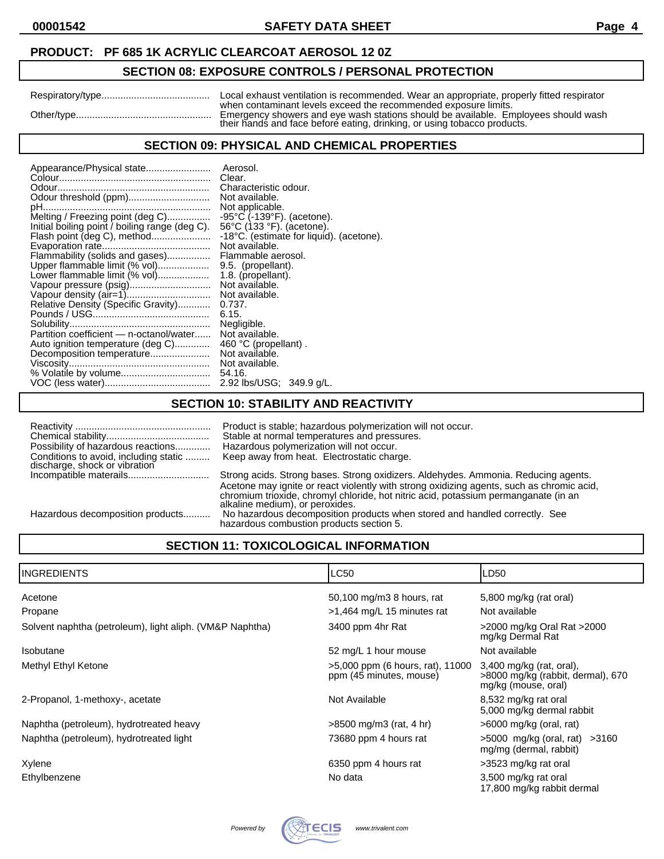# **SECTION 08: EXPOSURE CONTROLS / PERSONAL PROTECTION**

| Respiratory/type | Local exhaust ventilation is recommended. Wear an appropriate, properly fitted respirator                                                                                                                                         |
|------------------|-----------------------------------------------------------------------------------------------------------------------------------------------------------------------------------------------------------------------------------|
| Other/type       | when contaminant levels exceed the recommended exposure limits.<br>Emergency showers and eye wash stations should be available. Employees should wash<br>their hands and face before eating, drinking, or using tobacco products. |

#### **SECTION 09: PHYSICAL AND CHEMICAL PROPERTIES**

| Appearance/Physical state                      | Aerosol.                                        |
|------------------------------------------------|-------------------------------------------------|
|                                                | Clear.                                          |
|                                                | Characteristic odour.                           |
| Odour threshold (ppm)                          | Not available.                                  |
|                                                | Not applicable.                                 |
| Melting / Freezing point (deg C)               | $-95^{\circ}$ C ( $-139^{\circ}$ F). (acetone). |
| Initial boiling point / boiling range (deg C). | 56°C (133 °F). (acetone).                       |
| Flash point (deg C), method                    | -18°C. (estimate for liquid). (acetone).        |
|                                                | Not available.                                  |
| Flammability (solids and gases)                | Flammable aerosol.                              |
| Upper flammable limit (% vol)                  | 9.5. (propellant).                              |
| Lower flammable limit (% vol)                  | 1.8. (propellant).                              |
| Vapour pressure (psig)                         | Not available.                                  |
|                                                | Not available.                                  |
| Relative Density (Specific Gravity)            | 0.737.                                          |
|                                                | 6.15.                                           |
|                                                |                                                 |
| Partition coefficient - n-octanol/water        | Negligible.                                     |
|                                                | Not available.                                  |
| Auto ignition temperature (deg C)              | 460 °C (propellant).                            |
| Decomposition temperature                      | Not available.                                  |
|                                                | Not available.                                  |
|                                                | 54.16.                                          |
|                                                | 2.92 lbs/USG; 349.9 g/L.                        |

#### **SECTION 10: STABILITY AND REACTIVITY**

| Possibility of hazardous reactions<br>Conditions to avoid, including static | Product is stable; hazardous polymerization will not occur.<br>Stable at normal temperatures and pressures.<br>Hazardous polymerization will not occur.<br>Keep away from heat. Electrostatic charge. |
|-----------------------------------------------------------------------------|-------------------------------------------------------------------------------------------------------------------------------------------------------------------------------------------------------|
| discharge, shock or vibration                                               |                                                                                                                                                                                                       |
|                                                                             | Strong acids. Strong bases. Strong oxidizers. Aldehydes. Ammonia. Reducing agents.                                                                                                                    |
|                                                                             | Acetone may ignite or react violently with strong oxidizing agents, such as chromic acid,                                                                                                             |
|                                                                             | chromium trioxide, chromyl chloride, hot nitric acid, potassium permanganate (in an                                                                                                                   |
|                                                                             | alkaline medium), or peroxides.                                                                                                                                                                       |
| Hazardous decomposition products                                            | No hazardous decomposition products when stored and handled correctly. See                                                                                                                            |
|                                                                             | hazardous combustion products section 5.                                                                                                                                                              |

# **SECTION 11: TOXICOLOGICAL INFORMATION**

| <b>INGREDIENTS</b>                                       | <b>LC50</b>                                                 | LD50                                                                                 |
|----------------------------------------------------------|-------------------------------------------------------------|--------------------------------------------------------------------------------------|
| Acetone                                                  | 50,100 mg/m3 8 hours, rat                                   | 5,800 mg/kg (rat oral)                                                               |
| Propane                                                  | $>1,464$ mg/L 15 minutes rat                                | Not available                                                                        |
| Solvent naphtha (petroleum), light aliph. (VM&P Naphtha) | 3400 ppm 4hr Rat                                            | >2000 mg/kg Oral Rat >2000<br>mg/kg Dermal Rat                                       |
| Isobutane                                                | 52 mg/L 1 hour mouse                                        | Not available                                                                        |
| Methyl Ethyl Ketone                                      | >5,000 ppm (6 hours, rat), 11000<br>ppm (45 minutes, mouse) | 3,400 mg/kg (rat, oral),<br>>8000 mg/kg (rabbit, dermal), 670<br>mg/kg (mouse, oral) |
| 2-Propanol, 1-methoxy-, acetate                          | Not Available                                               | 8,532 mg/kg rat oral<br>5,000 mg/kg dermal rabbit                                    |
| Naphtha (petroleum), hydrotreated heavy                  | $>8500$ mg/m3 (rat, 4 hr)                                   | $>6000$ mg/kg (oral, rat)                                                            |
| Naphtha (petroleum), hydrotreated light                  | 73680 ppm 4 hours rat                                       | $>5000$ mg/kg (oral, rat) $>3160$<br>mg/mg (dermal, rabbit)                          |
| Xylene                                                   | 6350 ppm 4 hours rat                                        | >3523 mg/kg rat oral                                                                 |
| Ethylbenzene                                             | No data                                                     | 3,500 mg/kg rat oral<br>17,800 mg/kg rabbit dermal                                   |

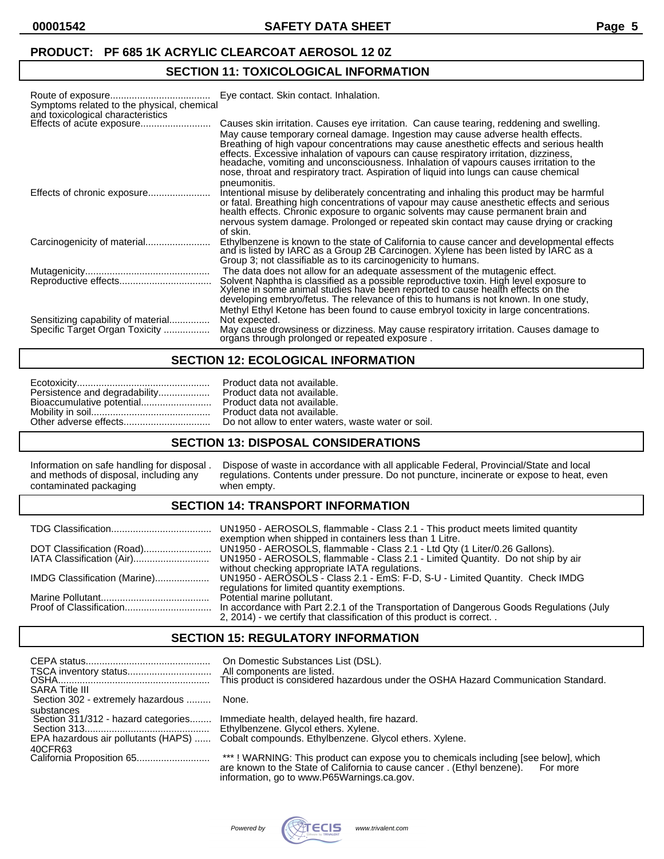# **SECTION 11: TOXICOLOGICAL INFORMATION**

| Symptoms related to the physical, chemical<br>and toxicological characteristics | Eye contact. Skin contact. Inhalation.                                                                                                                                                                                                                                                                                                                                                                                                                                                                                                               |
|---------------------------------------------------------------------------------|------------------------------------------------------------------------------------------------------------------------------------------------------------------------------------------------------------------------------------------------------------------------------------------------------------------------------------------------------------------------------------------------------------------------------------------------------------------------------------------------------------------------------------------------------|
| Effects of acute exposure                                                       | Causes skin irritation. Causes eye irritation. Can cause tearing, reddening and swelling.<br>May cause temporary corneal damage. Ingestion may cause adverse health effects.<br>Breathing of high vapour concentrations may cause anesthetic effects and serious health<br>effects. Excessive inhalation of vapours can cause respiratory irritation, dizziness,<br>headache, vomiting and unconsciousness. Inhalation of vapours causes irritation to the<br>nose, throat and respiratory tract. Aspiration of liquid into lungs can cause chemical |
|                                                                                 | pneumonitis.<br>Intentional misuse by deliberately concentrating and inhaling this product may be harmful<br>or fatal. Breathing high concentrations of vapour may cause anesthetic effects and serious<br>health effects. Chronic exposure to organic solvents may cause permanent brain and                                                                                                                                                                                                                                                        |
|                                                                                 | nervous system damage. Prolonged or repeated skin contact may cause drying or cracking<br>of skin.                                                                                                                                                                                                                                                                                                                                                                                                                                                   |
|                                                                                 | Ethylbenzene is known to the state of California to cause cancer and developmental effects<br>and is listed by IARC as a Group 2B Carcinogen. Xylene has been listed by IARC as a<br>Group 3; not classifiable as to its carcinogenicity to humans.                                                                                                                                                                                                                                                                                                  |
|                                                                                 | The data does not allow for an adequate assessment of the mutagenic effect.<br>Solvent Naphtha is classified as a possible reproductive toxin. High level exposure to Xylene in some animal studies have been reported to cause health effects on the<br>developing embryo/fetus. The relevance of this to humans is not known. In one study,                                                                                                                                                                                                        |
| Sensitizing capability of material<br>Specific Target Organ Toxicity            | Methyl Ethyl Ketone has been found to cause embryol toxicity in large concentrations.<br>Not expected.<br>May cause drowsiness or dizziness. May cause respiratory irritation. Causes damage to<br>organs through prolonged or repeated exposure.                                                                                                                                                                                                                                                                                                    |

# **SECTION 12: ECOLOGICAL INFORMATION**

|  | Product data not available. |
|--|-----------------------------|
|--|-----------------------------|

#### **SECTION 13: DISPOSAL CONSIDERATIONS**

# **SECTION 14: TRANSPORT INFORMATION**

| exemption when shipped in containers less than 1 Litre.                                                                                                                                         |
|-------------------------------------------------------------------------------------------------------------------------------------------------------------------------------------------------|
| without checking appropriate IATA regulations.<br>regulations for limited quantity exemptions.                                                                                                  |
| Potential marine pollutant.<br>In accordance with Part 2.2.1 of the Transportation of Dangerous Goods Regulations (July<br>2, 2014) - we certify that classification of this product is correct |

### **SECTION 15: REGULATORY INFORMATION**

| <b>SARA Title III</b>                                                                    | On Domestic Substances List (DSL).<br>All components are listed.<br>This product is considered hazardous under the OSHA Hazard Communication Standard.                                                                  |
|------------------------------------------------------------------------------------------|-------------------------------------------------------------------------------------------------------------------------------------------------------------------------------------------------------------------------|
| Section 302 - extremely hazardous                                                        | None.                                                                                                                                                                                                                   |
| substances<br>Section 311/312 - hazard categories<br>EPA hazardous air pollutants (HAPS) | Immediate health, delayed health, fire hazard.<br>Ethylbenzene. Glycol ethers. Xylene.<br>Cobalt compounds. Ethylbenzene. Glycol ethers. Xylene.                                                                        |
| 40CFR63                                                                                  | ***! WARNING: This product can expose you to chemicals including [see below], which<br>are known to the State of California to cause cancer. (Ethyl benzene).<br>For more<br>information, go to www.P65Warnings.ca.gov. |